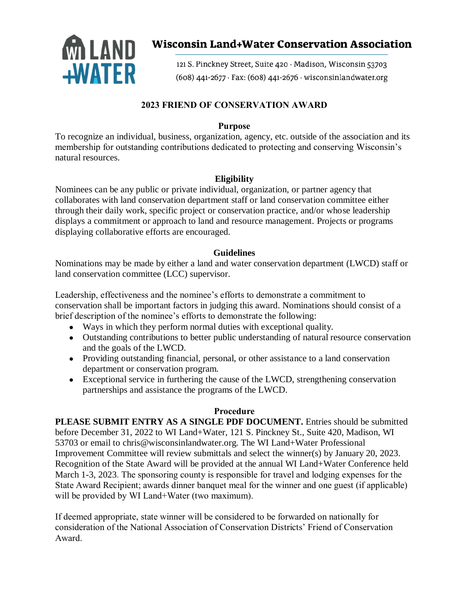

# **Wisconsin Land+Water Conservation Association**

121 S. Pinckney Street, Suite 420 · Madison, Wisconsin 53703 (608) 441-2677 · Fax: (608) 441-2676 · wisconsinlandwater.org

## **2023 FRIEND OF CONSERVATION AWARD**

### **Purpose**

To recognize an individual, business, organization, agency, etc. outside of the association and its membership for outstanding contributions dedicated to protecting and conserving Wisconsin's natural resources.

## **Eligibility**

Nominees can be any public or private individual, organization, or partner agency that collaborates with land conservation department staff or land conservation committee either through their daily work, specific project or conservation practice, and/or whose leadership displays a commitment or approach to land and resource management. Projects or programs displaying collaborative efforts are encouraged.

## **Guidelines**

Nominations may be made by either a land and water conservation department (LWCD) staff or land conservation committee (LCC) supervisor.

Leadership, effectiveness and the nominee's efforts to demonstrate a commitment to conservation shall be important factors in judging this award. Nominations should consist of a brief description of the nominee's efforts to demonstrate the following:

- Ways in which they perform normal duties with exceptional quality.
- Outstanding contributions to better public understanding of natural resource conservation and the goals of the LWCD.
- Providing outstanding financial, personal, or other assistance to a land conservation department or conservation program.
- Exceptional service in furthering the cause of the LWCD, strengthening conservation partnerships and assistance the programs of the LWCD.

#### **Procedure**

**PLEASE SUBMIT ENTRY AS A SINGLE PDF DOCUMENT.** Entries should be submitted before December 31, 2022 to WI Land+Water, 121 S. Pinckney St., Suite 420, Madison, WI 53703 or email to chris@wisconsinlandwater.org. The WI Land+Water Professional Improvement Committee will review submittals and select the winner(s) by January 20, 2023. Recognition of the State Award will be provided at the annual WI Land+Water Conference held March 1-3, 2023. The sponsoring county is responsible for travel and lodging expenses for the State Award Recipient; awards dinner banquet meal for the winner and one guest (if applicable) will be provided by WI Land+Water (two maximum).

If deemed appropriate, state winner will be considered to be forwarded on nationally for consideration of the National Association of Conservation Districts' Friend of Conservation Award.